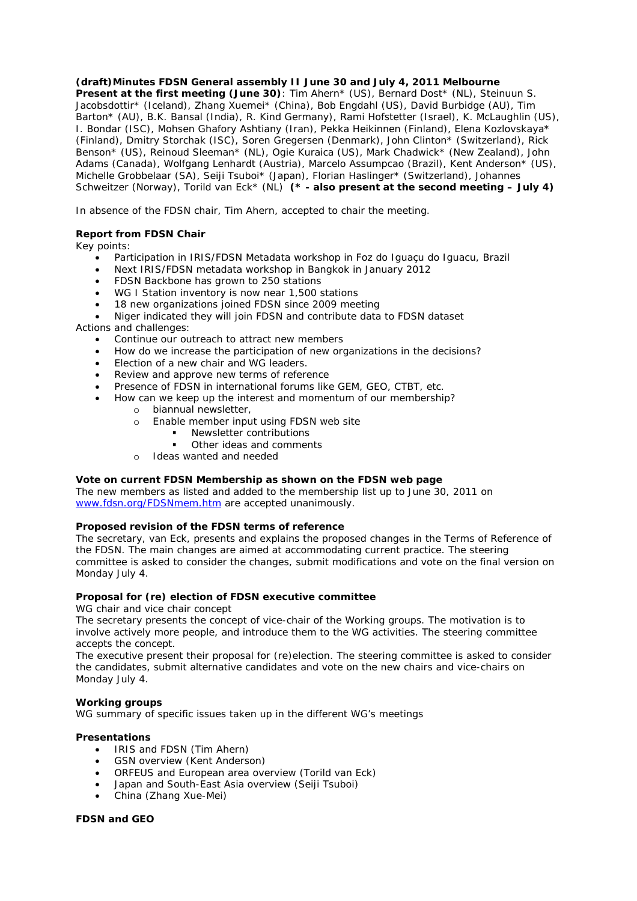**(draft)Minutes FDSN General assembly II June 30 and July 4, 2011 Melbourne Present at the first meeting (June 30)**: Tim Ahern\* (US), Bernard Dost\* (NL), Steinuun S. Jacobsdottir\* (Iceland), Zhang Xuemei\* (China), Bob Engdahl (US), David Burbidge (AU), Tim Barton\* (AU), B.K. Bansal (India), R. Kind Germany), Rami Hofstetter (Israel), K. McLaughlin (US), I. Bondar (ISC), Mohsen Ghafory Ashtiany (Iran), Pekka Heikinnen (Finland), Elena Kozlovskaya\* (Finland), Dmitry Storchak (ISC), Soren Gregersen (Denmark), John Clinton\* (Switzerland), Rick Benson\* (US), Reinoud Sleeman\* (NL), Ogie Kuraica (US), Mark Chadwick\* (New Zealand), John Adams (Canada), Wolfgang Lenhardt (Austria), Marcelo Assumpcao (Brazil), Kent Anderson\* (US), Michelle Grobbelaar (SA), Seiji Tsuboi\* (Japan), Florian Haslinger\* (Switzerland), Johannes Schweitzer (Norway), Torild van Eck\* (NL) *(\* - also present at the second meeting – July 4)*

In absence of the FDSN chair, Tim Ahern, accepted to chair the meeting.

# *Report from FDSN Chair*

Key points:

- Participation in IRIS/FDSN Metadata workshop in Foz do Iguaçu do Iguacu, Brazil
- Next IRIS/FDSN metadata workshop in Bangkok in January 2012
- FDSN Backbone has grown to 250 stations
- WG I Station inventory is now near 1,500 stations
- 18 new organizations joined FDSN since 2009 meeting

• Niger indicated they will join FDSN and contribute data to FDSN dataset Actions and challenges:

- Continue our outreach to attract new members
- How do we increase the participation of new organizations in the decisions?
- Election of a new chair and WG leaders.
- Review and approve new terms of reference
- Presence of FDSN in international forums like GEM, GEO, CTBT, etc.
- How can we keep up the interest and momentum of our membership?
	- o biannual newsletter,
	- o Enable member input using FDSN web site
		- **Newsletter contributions**
		- Other ideas and comments
	- o Ideas wanted and needed

#### *Vote on current FDSN Membership as shown on the FDSN web page*

The new members as listed and added to the membership list up to June 30, 2011 on www.fdsn.org/FDSNmem.htm are accepted unanimously.

# *Proposed revision of the FDSN terms of reference*

The secretary, van Eck, presents and explains the proposed changes in the Terms of Reference of the FDSN. The main changes are aimed at accommodating current practice. The steering committee is asked to consider the changes, submit modifications and vote on the final version on Monday July 4.

# *Proposal for (re) election of FDSN executive committee*

*WG chair and vice chair concept* 

The secretary presents the concept of vice-chair of the Working groups. The motivation is to involve actively more people, and introduce them to the WG activities. The steering committee accepts the concept.

The executive present their proposal for (re)election. The steering committee is asked to consider the candidates, submit alternative candidates and vote on the new chairs and vice-chairs on Monday July 4.

# *Working groups*

WG summary of specific issues taken up in the different WG's meetings

# *Presentations*

- IRIS and FDSN (Tim Ahern)
- GSN overview (Kent Anderson)
- ORFEUS and European area overview (Torild van Eck)
- Japan and South-East Asia overview (Seiji Tsuboi)
- China (Zhang Xue-Mei)

# *FDSN and GEO*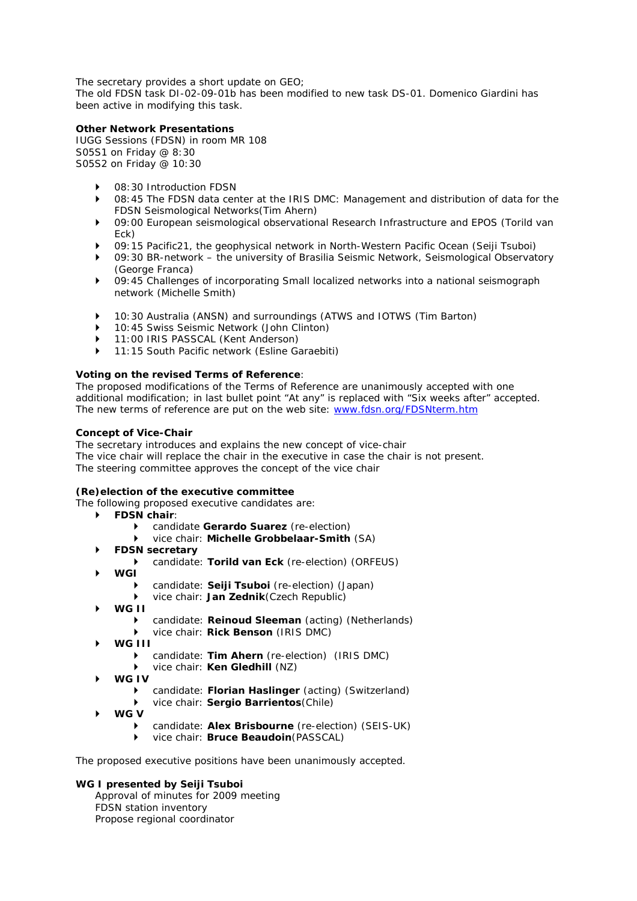The secretary provides a short update on GEO;

The old FDSN task DI-02-09-01b has been modified to new task DS-01. Domenico Giardini has been active in modifying this task.

# **Other Network Presentations**

IUGG Sessions (FDSN) in room MR 108 S05S1 on Friday @ 8:30 S05S2 on Friday @ 10:30

- 08:30 Introduction FDSN
- ` 08:45 The FDSN data center at the IRIS DMC: Management and distribution of data for the FDSN Seismological Networks(Tim Ahern)
- ` 09:00 European seismological observational Research Infrastructure and EPOS (Torild van Eck)
- ` 09:15 Pacific21, the geophysical network in North-Western Pacific Ocean (Seiji Tsuboi)
- ` 09:30 BR-network the university of Brasilia Seismic Network, Seismological Observatory (George Franca)
- ▶ 09:45 Challenges of incorporating Small localized networks into a national seismograph network (Michelle Smith)
- ▶ 10:30 Australia (ANSN) and surroundings (ATWS and IOTWS (Tim Barton)
- ` 10:45 Swiss Seismic Network (John Clinton)
- ` 11:00 IRIS PASSCAL (Kent Anderson)
- ` 11:15 South Pacific network (Esline Garaebiti)

# *Voting on the revised Terms of Reference*:

The proposed modifications of the Terms of Reference are unanimously accepted with one additional modification; in last bullet point "At any" is replaced with "Six weeks after" accepted. The new terms of reference are put on the web site: www.fdsn.org/FDSNterm.htm

#### *Concept of Vice-Chair*

The secretary introduces and explains the new concept of vice-chair The vice chair will replace the chair in the executive in case the chair is not present. The steering committee approves the concept of the vice chair

# *(Re)election of the executive committee*

The following proposed executive candidates are:

- ` **FDSN chair**:
	- candidate *Gerardo Suarez* (re-election)
	- ` vice chair: *Michelle Grobbelaar-Smith* (SA)
- ` **FDSN secretary** 
	- candidate: **Torild van Eck** (re-election) (ORFEUS)
- ` **WGI** 
	- ` candidate: *Seiji Tsuboi* (re-election) (Japan)
	- ` vice chair: *Jan Zednik*(Czech Republic)
- ` **WG II** 
	- candidate: **Reinoud Sleeman** (acting) (Netherlands)
	- ` vice chair: *Rick Benson* (IRIS DMC)
- ` **WG III** 
	- candidate: **Tim Ahern** (re-election) (IRIS DMC)
	- vice chair: **Ken Gledhill** (NZ)
- ` **WG IV** 
	- ` candidate: *Florian Haslinger* (acting) (Switzerland)
	- ` vice chair: *Sergio Barrientos*(Chile)
- ` **WG V** 
	- candidate: **Alex Brisbourne** (re-election) (SEIS-UK)
	- ` vice chair: *Bruce Beaudoin*(PASSCAL)

The proposed executive positions have been unanimously accepted.

#### *WG I presented by Seiji Tsuboi*

Approval of minutes for 2009 meeting FDSN station inventory Propose regional coordinator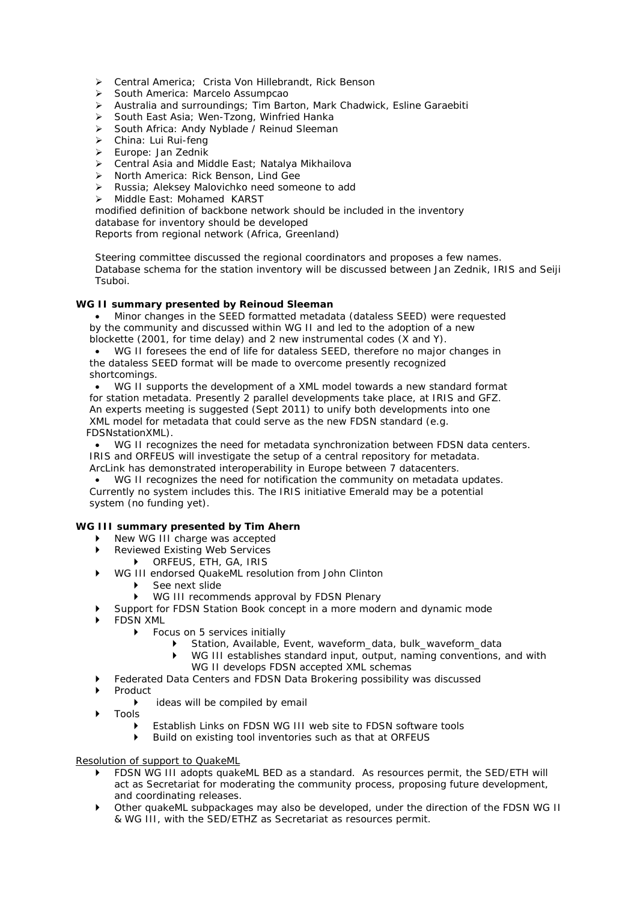- Central America; Crista Von Hillebrandt, Rick Benson
- South America: Marcelo Assumpcao
- Australia and surroundings; Tim Barton, Mark Chadwick, Esline Garaebiti
- ▶ South East Asia: Wen-Tzong, Winfried Hanka
- South Africa: Andy Nyblade / Reinud Sleeman
- > China: Lui Rui-feng
- Europe: Jan Zednik
- Central Asia and Middle East; Natalya Mikhailova
- > North America: Rick Benson, Lind Gee
- Russia; Aleksey Malovichko need someone to add
- > Middle East: Mohamed KARST

modified definition of backbone network should be included in the inventory database for inventory should be developed

Reports from regional network (Africa, Greenland)

Steering committee discussed the regional coordinators and proposes a few names. Database schema for the station inventory will be discussed between Jan Zednik, IRIS and Seiji Tsuboi.

#### *WG II summary presented by Reinoud Sleeman*

• Minor changes in the SEED formatted metadata (dataless SEED) were requested by the community and discussed within WG II and led to the adoption of a new blockette (2001, for time delay) and 2 new instrumental codes (X and Y).

• WG II foresees the end of life for dataless SEED, therefore no major changes in the dataless SEED format will be made to overcome presently recognized shortcomings.

• WG II supports the development of a XML model towards a new standard format for station metadata. Presently 2 parallel developments take place, at IRIS and GFZ. An experts meeting is suggested (Sept 2011) to unify both developments into one XML model for metadata that could serve as the new FDSN standard (e.g. FDSNstationXML).

• WG II recognizes the need for metadata synchronization between FDSN data centers. IRIS and ORFEUS will investigate the setup of a central repository for metadata. ArcLink has demonstrated interoperability in Europe between 7 datacenters.

• WG II recognizes the need for notification the community on metadata updates. Currently no system includes this. The IRIS initiative Emerald may be a potential system (no funding yet).

# *WG III summary presented by Tim Ahern*

- ▶ New WG III charge was accepted
- Reviewed Existing Web Services
	- **DERFEUS, ETH, GA, IRIS**
- ▶ WG III endorsed QuakeML resolution from John Clinton
	- See next slide
	- WG III recommends approval by FDSN Plenary
- ` Support for FDSN Station Book concept in a more modern and dynamic mode
- ` FDSN XML
	- **Focus on 5 services initially** 
		- ` Station, Available, Event, waveform\_data, bulk\_waveform\_data
		- $\blacktriangleright$  WG III establishes standard input, output, naming conventions, and with WG II develops FDSN accepted XML schemas
	- ` Federated Data Centers and FDSN Data Brokering possibility was discussed
- **Product** 
	- $\triangleright$  ideas will be compiled by email
- ` Tools
	- $\triangleright$  Establish Links on FDSN WG III web site to FDSN software tools
	- ` Build on existing tool inventories such as that at ORFEUS

#### *Resolution of support to QuakeML*

- ` FDSN WG III adopts quakeML BED as a standard. As resources permit, the SED/ETH will act as Secretariat for moderating the community process, proposing future development, and coordinating releases.
- ` Other quakeML subpackages may also be developed, under the direction of the FDSN WG II & WG III, with the SED/ETHZ as Secretariat as resources permit.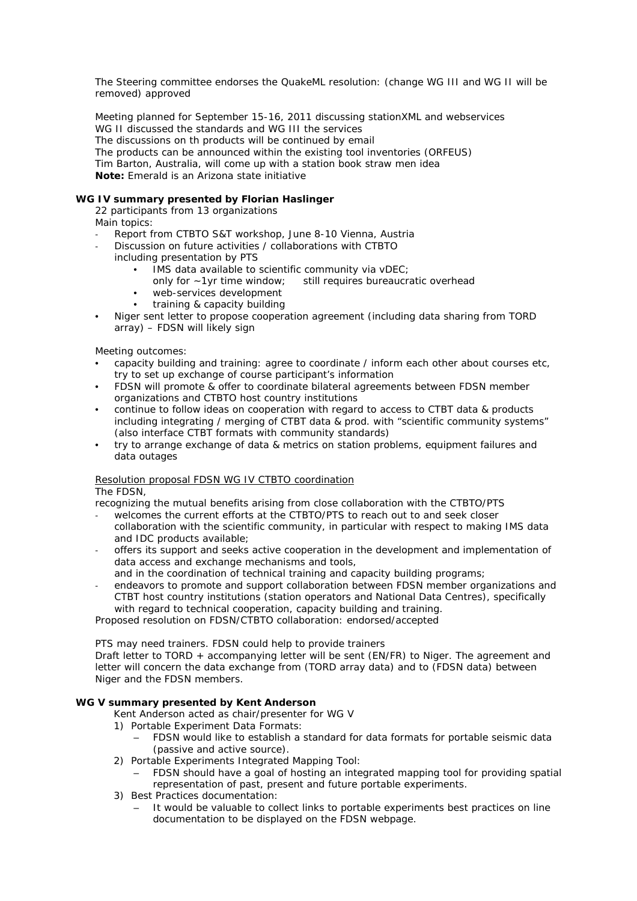The Steering committee endorses the QuakeML resolution: (change WG III and WG II will be removed) approved

Meeting planned for September 15-16, 2011 discussing stationXML and webservices WG II discussed the standards and WG III the services The discussions on th products will be continued by email The products can be announced within the existing tool inventories (ORFEUS) Tim Barton, Australia, will come up with a station book straw men idea *Note:* Emerald is an Arizona state initiative

# *WG IV summary presented by Florian Haslinger*

22 participants from 13 organizations Main topics:

- 
- Report from CTBTO S&T workshop, June 8-10 Vienna, Austria
- Discussion on future activities / collaborations with CTBTO
	- including presentation by PTS
		- IMS data available to scientific community via vDEC;
			- only for ~1yr time window; still requires bureaucratic overhead
		- web-services development
		- training & capacity building
- Niger sent letter to propose cooperation agreement (including data sharing from TORD array) – FDSN will likely sign

Meeting outcomes:

- capacity building and training: agree to coordinate / inform each other about courses etc, try to set up exchange of course participant's information
- FDSN will promote & offer to coordinate bilateral agreements between FDSN member organizations and CTBTO host country institutions
- continue to follow ideas on cooperation with regard to access to CTBT data & products including integrating / merging of CTBT data & prod. with "scientific community systems" (also interface CTBT formats with community standards)
- try to arrange exchange of data & metrics on station problems, equipment failures and data outages

# *Resolution proposal FDSN WG IV CTBTO coordination*

The FDSN,

recognizing the mutual benefits arising from close collaboration with the CTBTO/PTS

- welcomes the current efforts at the CTBTO/PTS to reach out to and seek closer collaboration with the scientific community, in particular with respect to making IMS data and IDC products available;
- offers its support and seeks active cooperation in the development and implementation of data access and exchange mechanisms and tools,
- and in the coordination of technical training and capacity building programs;
- endeavors to promote and support collaboration between FDSN member organizations and CTBT host country institutions (station operators and National Data Centres), specifically with regard to technical cooperation, capacity building and training.

Proposed resolution on FDSN/CTBTO collaboration: endorsed/accepted

PTS may need trainers. FDSN could help to provide trainers

Draft letter to TORD + accompanying letter will be sent (EN/FR) to Niger. The agreement and letter will concern the data exchange from (TORD array data) and to (FDSN data) between Niger and the FDSN members.

# **WG V summary presented by Kent Anderson**

Kent Anderson acted as chair/presenter for WG V

- 1) Portable Experiment Data Formats:
	- FDSN would like to establish a standard for data formats for portable seismic data (passive and active source).
- 2) Portable Experiments Integrated Mapping Tool:
	- FDSN should have a goal of hosting an integrated mapping tool for providing spatial representation of past, present and future portable experiments.
- 3) Best Practices documentation:
	- It would be valuable to collect links to portable experiments best practices on line documentation to be displayed on the FDSN webpage.